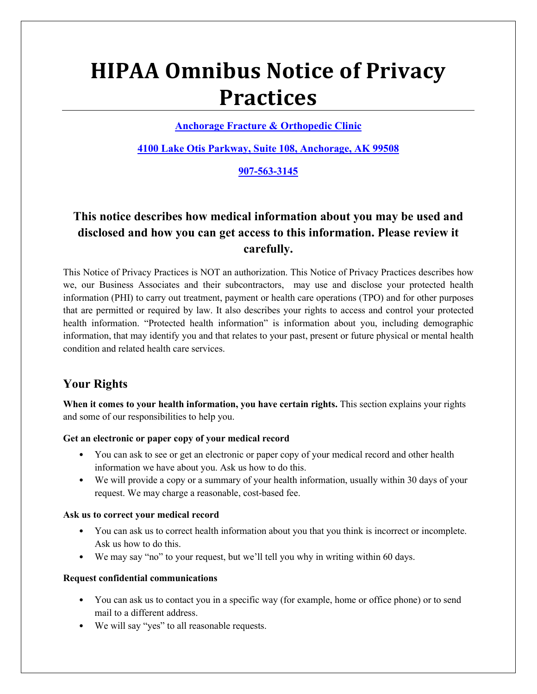# **HIPAA Omnibus Notice of Privacy Practices**

## **Anchorage Fracture & Orthopedic Clinic**

**4100 Lake Otis Parkway, Suite 108, Anchorage, AK 99508** 

## **907-563-3145**

# **This notice describes how medical information about you may be used and disclosed and how you can get access to this information. Please review it carefully.**

This Notice of Privacy Practices is NOT an authorization. This Notice of Privacy Practices describes how we, our Business Associates and their subcontractors, may use and disclose your protected health information (PHI) to carry out treatment, payment or health care operations (TPO) and for other purposes that are permitted or required by law. It also describes your rights to access and control your protected health information. "Protected health information" is information about you, including demographic information, that may identify you and that relates to your past, present or future physical or mental health condition and related health care services.

# **Your Rights**

**When it comes to your health information, you have certain rights.** This section explains your rights and some of our responsibilities to help you.

## **Get an electronic or paper copy of your medical record**

- You can ask to see or get an electronic or paper copy of your medical record and other health information we have about you. Ask us how to do this.
- We will provide a copy or a summary of your health information, usually within 30 days of your request. We may charge a reasonable, cost-based fee.

#### **Ask us to correct your medical record**

- You can ask us to correct health information about you that you think is incorrect or incomplete. Ask us how to do this.
- We may say "no" to your request, but we'll tell you why in writing within 60 days.

## **Request confidential communications**

- You can ask us to contact you in a specific way (for example, home or office phone) or to send mail to a different address.
- We will say "yes" to all reasonable requests.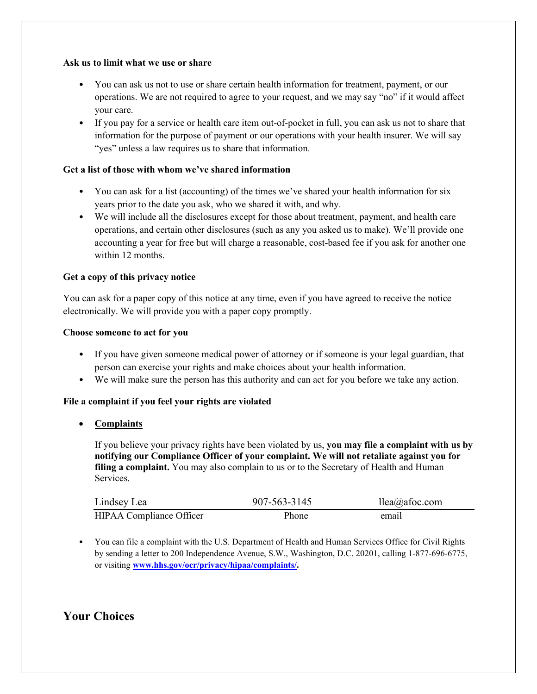#### **Ask us to limit what we use or share**

- You can ask us not to use or share certain health information for treatment, payment, or our operations. We are not required to agree to your request, and we may say "no" if it would affect your care.
- If you pay for a service or health care item out-of-pocket in full, you can ask us not to share that information for the purpose of payment or our operations with your health insurer. We will say "yes" unless a law requires us to share that information.

## **Get a list of those with whom we've shared information**

- You can ask for a list (accounting) of the times we've shared your health information for six years prior to the date you ask, who we shared it with, and why.
- We will include all the disclosures except for those about treatment, payment, and health care operations, and certain other disclosures (such as any you asked us to make). We'll provide one accounting a year for free but will charge a reasonable, cost-based fee if you ask for another one within 12 months.

#### **Get a copy of this privacy notice**

You can ask for a paper copy of this notice at any time, even if you have agreed to receive the notice electronically. We will provide you with a paper copy promptly.

#### **Choose someone to act for you**

- If you have given someone medical power of attorney or if someone is your legal guardian, that person can exercise your rights and make choices about your health information.
- We will make sure the person has this authority and can act for you before we take any action.

#### **File a complaint if you feel your rights are violated**

• **Complaints**

If you believe your privacy rights have been violated by us, **you may file a complaint with us by notifying our Compliance Officer of your complaint. We will not retaliate against you for**  filing a complaint. You may also complain to us or to the Secretary of Health and Human Services.

| Lindsey Lea              | 907-563-3145 | llea@afoc.com |
|--------------------------|--------------|---------------|
| HIPAA Compliance Officer | Phone        | email         |

• You can file a complaint with the U.S. Department of Health and Human Services Office for Civil Rights by sending a letter to 200 Independence Avenue, S.W., Washington, D.C. 20201, calling 1-877-696-6775, or visiting **[www.hhs.gov/ocr/privacy/hipaa/complaints/.](http://www.hhs.gov/ocr/privacy/hipaa/complaints/)**

# **Your Choices**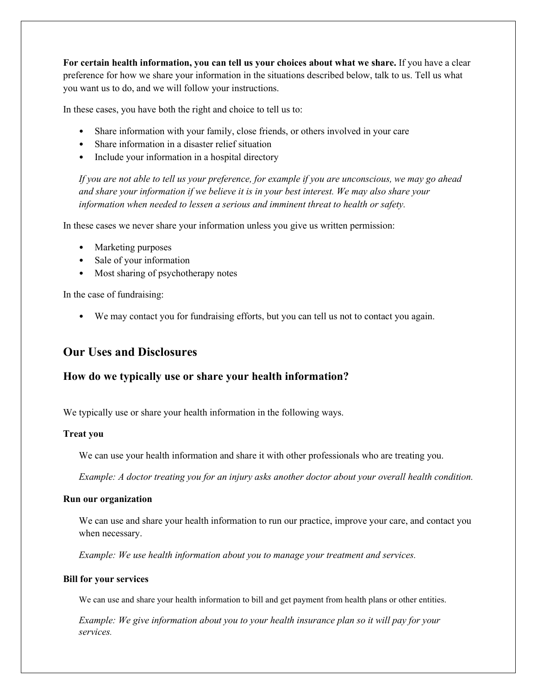**For certain health information, you can tell us your choices about what we share.** If you have a clear preference for how we share your information in the situations described below, talk to us. Tell us what you want us to do, and we will follow your instructions.

In these cases, you have both the right and choice to tell us to:

- Share information with your family, close friends, or others involved in your care
- Share information in a disaster relief situation
- Include your information in a hospital directory

*If you are not able to tell us your preference, for example if you are unconscious, we may go ahead and share your information if we believe it is in your best interest. We may also share your information when needed to lessen a serious and imminent threat to health or safety.* 

In these cases we never share your information unless you give us written permission:

- Marketing purposes
- Sale of your information
- Most sharing of psychotherapy notes

In the case of fundraising:

• We may contact you for fundraising efforts, but you can tell us not to contact you again.

## **Our Uses and Disclosures**

## **How do we typically use or share your health information?**

We typically use or share your health information in the following ways.

#### **Treat you**

We can use your health information and share it with other professionals who are treating you.

*Example: A doctor treating you for an injury asks another doctor about your overall health condition.*

#### **Run our organization**

We can use and share your health information to run our practice, improve your care, and contact you when necessary.

*Example: We use health information about you to manage your treatment and services.* 

#### **Bill for your services**

We can use and share your health information to bill and get payment from health plans or other entities.

*Example: We give information about you to your health insurance plan so it will pay for your services.*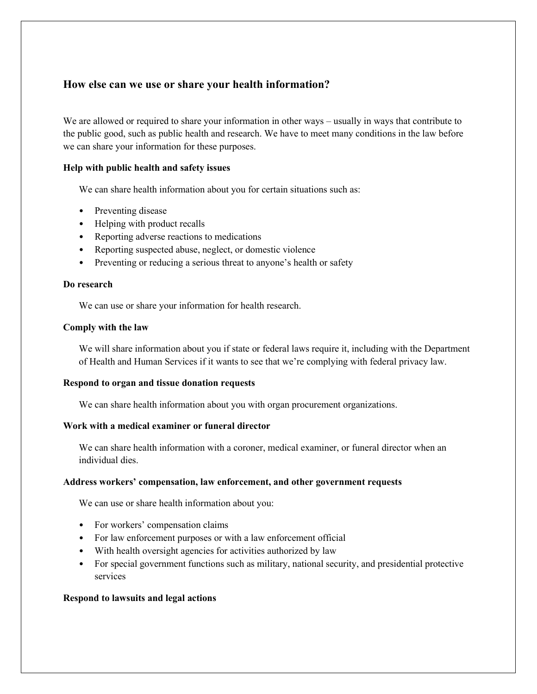## **How else can we use or share your health information?**

We are allowed or required to share your information in other ways – usually in ways that contribute to the public good, such as public health and research. We have to meet many conditions in the law before we can share your information for these purposes.

#### **Help with public health and safety issues**

We can share health information about you for certain situations such as:

- Preventing disease
- Helping with product recalls
- Reporting adverse reactions to medications
- Reporting suspected abuse, neglect, or domestic violence
- Preventing or reducing a serious threat to anyone's health or safety

#### **Do research**

We can use or share your information for health research.

#### **Comply with the law**

We will share information about you if state or federal laws require it, including with the Department of Health and Human Services if it wants to see that we're complying with federal privacy law.

#### **Respond to organ and tissue donation requests**

We can share health information about you with organ procurement organizations.

#### **Work with a medical examiner or funeral director**

We can share health information with a coroner, medical examiner, or funeral director when an individual dies.

#### **Address workers' compensation, law enforcement, and other government requests**

We can use or share health information about you:

- For workers' compensation claims
- For law enforcement purposes or with a law enforcement official
- With health oversight agencies for activities authorized by law
- For special government functions such as military, national security, and presidential protective services

#### **Respond to lawsuits and legal actions**